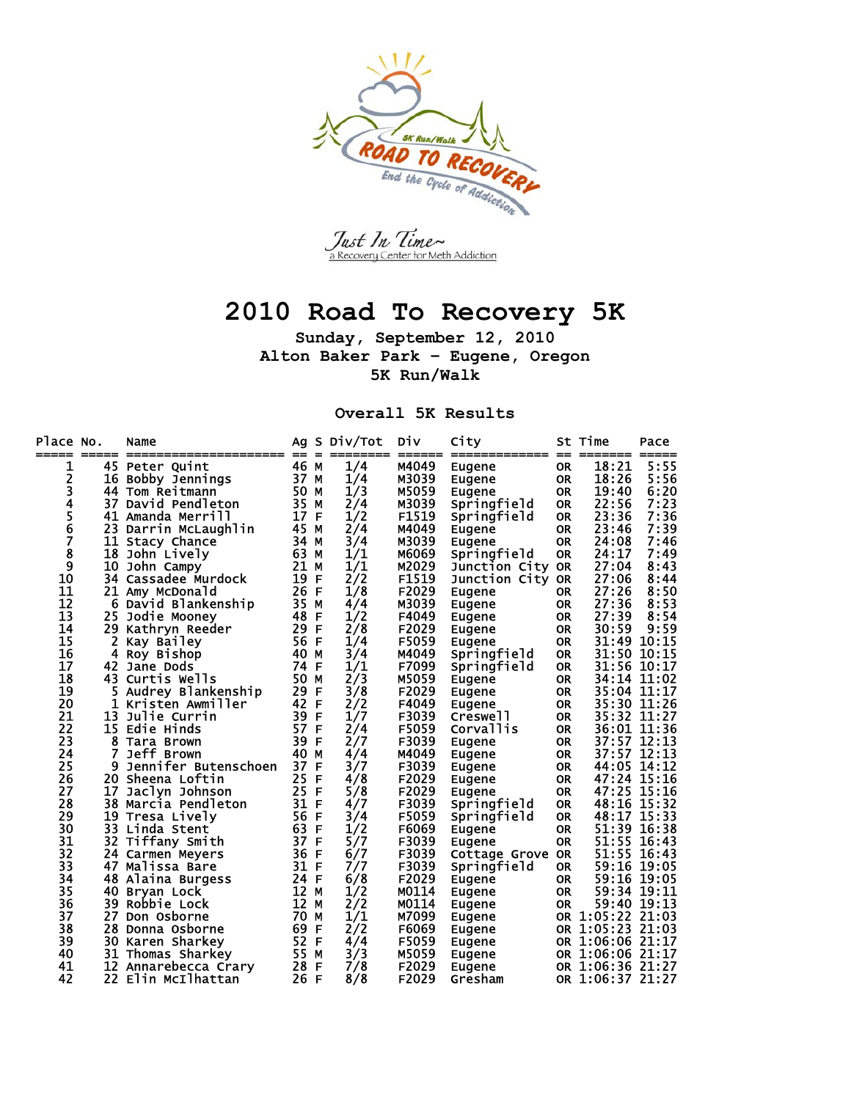

Just In Time~<br>a Recovery Center for Meth Addiction

## **2010 Road To Recovery 5K**

**Sunday, September 12, 2010 Alton Baker Park – Eugene, Oregon 5K Run/Walk** 

## **Overall 5K Results**

| Place No.<br>===== | ==== | Name                 | $=$  | $=$ | Ag S Div/Tot | Div   | City             | $==$      | St Time          | Pace        |
|--------------------|------|----------------------|------|-----|--------------|-------|------------------|-----------|------------------|-------------|
| 1                  |      | 45 Peter Quint       | 46 M |     | 1/4          | M4049 | Eugene           | <b>OR</b> | 18:21            | 5:55        |
| 2                  |      | 16 Bobby Jennings    | 37 M |     | 1/4          | M3039 | Eugene           | <b>OR</b> | 18:26            | 5:56        |
| 34567              |      | 44 Tom Reitmann      | 50 M |     | 1/3          | M5059 | Eugene           | <b>OR</b> | 19:40            | 6:20        |
|                    |      | 37 David Pendleton   | 35 M |     | 2/4          | M3039 | Springfield      | <b>OR</b> | 22:56            | 7:23        |
|                    |      | 41 Amanda Merrill    | 17 F |     | 1/2          | F1519 | Springfield      | <b>OR</b> | 23:36            | 7:36        |
|                    |      | 23 Darrin McLaughlin | 45 M |     | 2/4          | M4049 | Eugene           | <b>OR</b> | 23:46            | 7:39        |
|                    |      | 11 Stacy Chance      | 34 M |     | 3/4          | M3039 | Eugene           | <b>OR</b> | 24:08            | 7:46        |
| 8                  |      | 18 John Lively       | 63 M |     | 1/1          | M6069 | Springfield      | <b>OR</b> | 24:17            | 7:49        |
| 9                  |      | 10 John Campy        | 21 M |     | 1/1          | M2029 | Junction City OR |           | 27:04            | 8:43        |
| 10                 |      | 34 Cassadee Murdock  | 19 F |     | 2/2          | F1519 | Junction City OR |           | 27:06            | 8:44        |
| 11                 |      | 21 Amy McDonald      | 26 F |     | 1/8          | F2029 | Eugene           | 0R.       | 27:26            | 8:50        |
| 12                 |      | 6 David Blankenship  | 35 M |     | 4/4          | M3039 | Eugene           | <b>OR</b> | 27:36            | 8:53        |
| 13                 |      | 25 Jodie Mooney      | 48 F |     | 1/2          | F4049 | Eugene           | <b>OR</b> | 27:39            | 8:54        |
| 14                 |      | 29 Kathryn Reeder    | 29 F |     | 2/8          | F2029 | Eugene           | <b>OR</b> | 30:59            | 9:59        |
| 15                 | 2    | Kay Bailey           | 56 F |     | 1/4          | F5059 | Eugene           | <b>OR</b> | 31:49            | 10:15       |
| 16                 | 4    | Roy Bishop           | 40 M |     | 3/4          | M4049 | Springfield      | <b>OR</b> | 31:50            | 10:15       |
| 17                 |      | 42 Jane Dods         | 74 F |     | 1/1          | F7099 | Springfield      | <b>OR</b> |                  | 31:56 10:17 |
| 18                 |      | 43 Curtis Wells      | 50 M |     | 2/3          | M5059 | Eugene           | <b>OR</b> |                  | 34:14 11:02 |
| 19                 | 5    | Audrey Blankenship   | 29 F |     | 3/8          | F2029 | Eugene           | <b>OR</b> |                  | 35:04 11:17 |
| 20                 |      | 1 Kristen Awmiller   | 42 F |     | 2/2          | F4049 | Eugene           | <b>OR</b> |                  | 35:30 11:26 |
| 21                 | 13   | Julie Currin         | 39 F |     | 1/7          | F3039 | Creswell         | <b>OR</b> |                  | 35:32 11:27 |
| 22                 |      | 15 Edie Hinds        | 57 F |     | 2/4          | F5059 | Corvallis        | <b>OR</b> |                  | 36:01 11:36 |
| 23                 | 8    | Tara Brown           | 39 F |     | 2/7          | F3039 | Eugene           | <b>OR</b> | 37:57            | 12:13       |
| 24                 | 7    | Jeff Brown           | 40 M |     | 4/4          | M4049 | Eugene           | <b>OR</b> |                  | 37:57 12:13 |
| 25                 | 9    | Jennifer Butenschoen | 37 F |     | 3/7          | F3039 | Eugene           | <b>OR</b> | 44:05 14:12      |             |
| 26                 |      | 20 Sheena Loftin     | 25 F |     | 4/8          | F2029 | Eugene           | <b>OR</b> |                  | 47:24 15:16 |
| 27                 | 17   | Jaclyn Johnson       | 25 F |     | 5/8          | F2029 | Eugene           | <b>OR</b> |                  | 47:25 15:16 |
| 28                 |      | 38 Marcia Pendleton  | 31 F |     | 4/7          | F3039 | Springfield      | <b>OR</b> | 48:16 15:32      |             |
| 29                 |      | 19 Tresa Lively      | 56 F |     | 3/4          | F5059 | Springfield      | <b>OR</b> | 48:17            | 15:33       |
| 30                 |      | 33 Linda Stent       | 63 F |     | 1/2          | F6069 | Eugene           | <b>OR</b> | 51:39            | 16:38       |
| 31                 |      | 32 Tiffany Smith     | 37 F |     | 5/7          | F3039 | Eugene           | <b>OR</b> | 51:55            | 16:43       |
| 32                 |      | 24 Carmen Meyers     | 36 F |     | 6/7          | F3039 | Cottage Grove    | <b>OR</b> | 51:55            | 16:43       |
| 33                 |      | 47 Malissa Bare      | 31 F |     | 7/7          | F3039 | Springfield      | <b>OR</b> |                  | 59:16 19:05 |
| 34                 |      | 48 Alaina Burgess    | 24 F |     | 6/8          | F2029 | Eugene           | <b>OR</b> |                  | 59:16 19:05 |
| 35                 |      | 40 Bryan Lock        | 12 M |     | 1/2          | M0114 | Eugene           | <b>OR</b> |                  | 59:34 19:11 |
| 36                 |      | 39 Robbie Lock       | 12 M |     | 2/2          | M0114 | Eugene           | <b>OR</b> |                  | 59:40 19:13 |
| 37                 | 27   | Don Osborne          | 70 M |     | 1/1          | M7099 | Eugene           |           | OR 1:05:22 21:03 |             |
| 38                 |      | 28 Donna Osborne     | 69 F |     | 2/2          | F6069 | Eugene           |           | OR 1:05:23 21:03 |             |
| 39                 |      | 30 Karen Sharkey     | 52 F |     | 4/4          | F5059 | Eugene           |           | OR 1:06:06 21:17 |             |
| 40                 |      | 31 Thomas Sharkey    | 55 M |     | 3/3          | M5059 | Eugene           |           | OR 1:06:06 21:17 |             |
| 41                 |      | 12 Annarebecca Crary | 28   | -F  | 7/8          | F2029 | Eugene           |           | OR 1:06:36 21:27 |             |
| 42                 | 22   | Elin McIlhattan      | 26 F |     | 8/8          | F2029 | Gresham          |           | OR 1:06:37 21:27 |             |